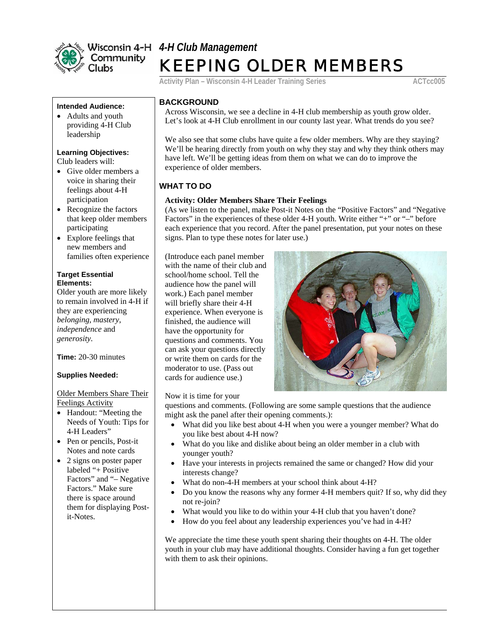

# *4-H Club Management* KEEPING OLDER MEMBERS

**Activity Plan – Wisconsin 4-H Leader Training Series ACTCC005** 

#### **Intended Audience:**

• Adults and youth providing 4-H Club leadership

## **Learning Objectives:**

Club leaders will:

- Give older members a voice in sharing their feelings about 4-H participation
- Recognize the factors that keep older members participating
- Explore feelings that new members and families often experience

#### **Target Essential Elements:**

Older youth are more likely to remain involved in 4-H if they are experiencing *belonging, mastery, independence* and *generosity*.

**Time:** 20-30 minutes

## **Supplies Needed:**

Older Members Share Their Feelings Activity

- Handout: "Meeting the Needs of Youth: Tips for 4-H Leaders"
- Pen or pencils, Post-it Notes and note cards
- 2 signs on poster paper labeled "+ Positive Factors" and "– Negative Factors." Make sure there is space around them for displaying Postit-Notes.

# **BACKGROUND**

Across Wisconsin, we see a decline in 4-H club membership as youth grow older. Let's look at 4-H Club enrollment in our county last year. What trends do you see?

We also see that some clubs have quite a few older members. Why are they staying? We'll be hearing directly from youth on why they stay and why they think others may have left. We'll be getting ideas from them on what we can do to improve the experience of older members.

# **WHAT TO DO**

# **Activity: Older Members Share Their Feelings**

(As we listen to the panel, make Post-it Notes on the "Positive Factors" and "Negative Factors" in the experiences of these older 4-H youth. Write either "+" or "–" before each experience that you record. After the panel presentation, put your notes on these signs. Plan to type these notes for later use.)

(Introduce each panel member with the name of their club a nd school/home school. Tell the audience how the panel will work.) Each panel memb er will briefly share their 4-H experience. When everyone i s finished, the audience wil l have the opportunity fo r questions and comments. You can ask your questions directly or write them on cards for t he moderator to use. (Pas s out cards for audience use.)



Now it is time for your

questions and comments. (Following are some sample questions that the audience might ask the panel after their opening comments.):

- What did you like best about 4-H when you were a younger member? What do you like best about 4-H now?
- What do you like and dislike about being an older member in a club with younger youth?
- Have your interests in projects remained the same or changed? How did your interests change?
- What do non-4-H members at your school think about 4-H?
- Do you know the reasons why any former 4-H members quit? If so, why did they not re-join?
- What would you like to do within your 4-H club that you haven't done?
- How do you feel about any leadership experiences you've had in 4-H?

We appreciate the time these youth spent sharing their thoughts on 4-H. The older youth in your club may have additional thoughts. Consider having a fun get together with them to ask their opinions.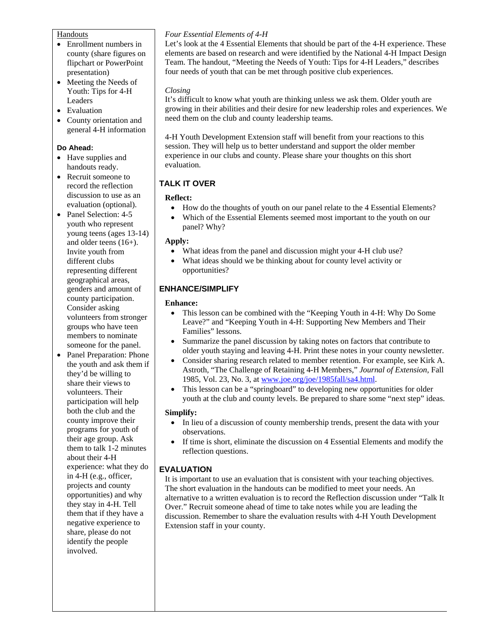#### Handouts

- Enrollment numbers in county (share figures on flipchart or PowerPoint presentation)
- Meeting the Needs of Youth: Tips for 4-H Leaders
- Evaluation
- County orientation and general 4-H information

## **Do Ahead:**

- Have supplies and handouts ready.
- Recruit someone to record the reflection discussion to use as an evaluation (optional).
- Panel Selection: 4-5 youth who represent young teens (ages 13-14) and older teens (16+). Invite youth from different clubs representing different geographical areas, genders and amount of county participation. Consider asking volunteers from stronger groups who have teen members to nominate someone for the panel.
- Panel Preparation: Phone the youth and ask them if they'd be willing to share their views to volunteers. Their participation will help both the club and the county improve their programs for youth of their age group. Ask them to talk 1-2 minutes about their 4-H experience: what they do in 4-H (e.g., officer, projects and county opportunities) and why they stay in 4-H. Tell them that if they have a negative experience to share, please do not identify the people involved.

# *Four Essential Elements of 4-H*

Let's look at the 4 Essential Elements that should be part of the 4-H experience. These elements are based on research and were identified by the National 4-H Impact Design Team. The handout, "Meeting the Needs of Youth: Tips for 4-H Leaders," describes four needs of youth that can be met through positive club experiences.

## *Closing*

It's difficult to know what youth are thinking unless we ask them. Older youth are growing in their abilities and their desire for new leadership roles and experiences. We need them on the club and county leadership teams.

4-H Youth Development Extension staff will benefit from your reactions to this session. They will help us to better understand and support the older member experience in our clubs and county. Please share your thoughts on this short evaluation.

# **TALK IT OVER**

# **Reflect:**

- How do the thoughts of youth on our panel relate to the 4 Essential Elements?
- Which of the Essential Elements seemed most important to the youth on our panel? Why?

## **Apply:**

- What ideas from the panel and discussion might your 4-H club use?
- What ideas should we be thinking about for county level activity or opportunities?

# **ENHANCE/SIMPLIFY**

## **Enhance:**

- This lesson can be combined with the "Keeping Youth in 4-H: Why Do Some" Leave?" and "Keeping Youth in 4-H: Supporting New Members and Their Families" lessons.
- Summarize the panel discussion by taking notes on factors that contribute to older youth staying and leaving 4-H. Print these notes in your county newsletter.
- Consider sharing research related to member retention. For example, see Kirk A. Astroth, "The Challenge of Retaining 4-H Members," *Journal of Extension*, Fall 1985, Vol. 23, No. 3, at www.joe.org/joe/1985fall/sa4.html.
- This lesson can be a "springboard" to developing new opportunities for older youth at the club and county levels. Be prepared to share some "next step" ideas.

## **Simplify:**

- In lieu of a discussion of county membership trends, present the data with your observations.
- If time is short, eliminate the discussion on 4 Essential Elements and modify the reflection questions.

# **EVALUATION**

It is important to use an evaluation that is consistent with your teaching objectives. The short evaluation in the handouts can be modified to meet your needs. An alternative to a written evaluation is to record the Reflection discussion under "Talk It Over." Recruit someone ahead of time to take notes while you are leading the discussion. Remember to share the evaluation results with 4-H Youth Development Extension staff in your county.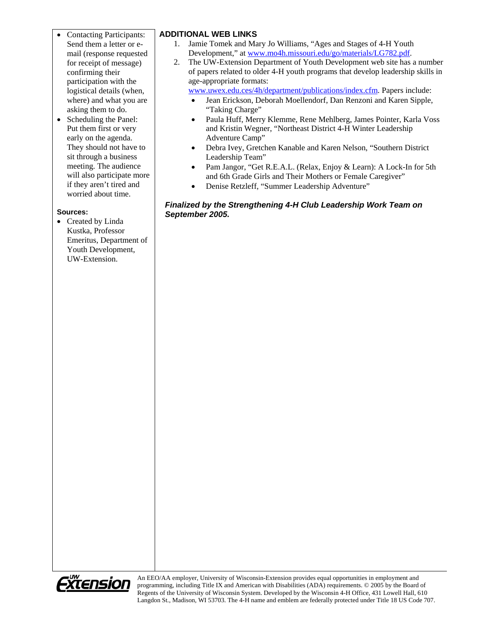- Contacting Participants: Send them a letter or email (response requested for receipt of message) confirming their participation with the logistical details (when, where) and what you are asking them to do.
- Scheduling the Panel: Put them first or very early on the agenda. They should not have to sit through a business meeting. The audience will also participate more if they aren't tired and worried about time.

## **Sources:**

• Created by Linda Kustka, Professor Emeritus, Department of Youth Development, UW-Extension.

# **ADDITIONAL WEB LINKS**

- 1. Jamie Tomek and Mary Jo Williams, "Ages and Stages of 4-H Youth Development," at www.mo4h.missouri.edu/go/materials/LG782.pdf.
- 2. The UW-Extension Department of Youth Development web site has a number of papers related to older 4-H youth programs that develop leadership skills in age-appropriate formats:

www.uwex.edu.ces/4h/department/publications/index.cfm. Papers include:

- Jean Erickson, Deborah Moellendorf, Dan Renzoni and Karen Sipple, "Taking Charge"
- Paula Huff, Merry Klemme, Rene Mehlberg, James Pointer, Karla Voss and Kristin Wegner, "Northeast District 4-H Winter Leadership Adventure Camp"
- Debra Ivey, Gretchen Kanable and Karen Nelson, "Southern District Leadership Team"
- Pam Jangor, "Get R.E.A.L. (Relax, Enjoy & Learn): A Lock-In for 5th and 6th Grade Girls and Their Mothers or Female Caregiver"
- Denise Retzleff, "Summer Leadership Adventure"

## *Finalized by the Strengthening 4-H Club Leadership Work Team on September 2005.*



An EEO/AA employer, University of Wisconsin-Extension provides equal opportunities in employment and programming, including Title IX and American with Disabilities (ADA) requirements. © 2005 by the Board of Regents of the University of Wisconsin System. Developed by the Wisconsin 4-H Office, 431 Lowell Hall, 610 Langdon St., Madison, WI 53703. The 4-H name and emblem are federally protected under Title 18 US Code 707.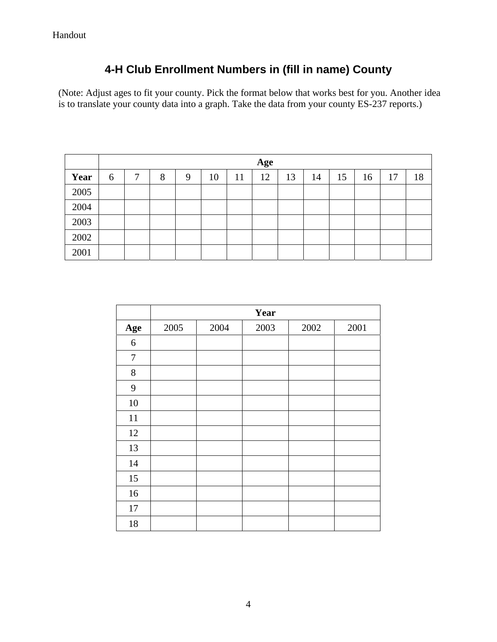# **4-H Club Enrollment Numbers in (fill in name) County**

(Note: Adjust ages to fit your county. Pick the format below that works best for you. Another idea is to translate your county data into a graph. Take the data from your county ES-237 reports.)

|      | Age |   |   |   |    |    |    |    |    |    |    |    |    |
|------|-----|---|---|---|----|----|----|----|----|----|----|----|----|
| Year | 6   | ⇁ | 8 | 9 | 10 | 11 | 12 | 13 | 14 | 15 | 16 | 17 | 18 |
| 2005 |     |   |   |   |    |    |    |    |    |    |    |    |    |
| 2004 |     |   |   |   |    |    |    |    |    |    |    |    |    |
| 2003 |     |   |   |   |    |    |    |    |    |    |    |    |    |
| 2002 |     |   |   |   |    |    |    |    |    |    |    |    |    |
| 2001 |     |   |   |   |    |    |    |    |    |    |    |    |    |

|                  | Year |      |      |      |      |  |  |  |  |  |
|------------------|------|------|------|------|------|--|--|--|--|--|
| Age              | 2005 | 2004 | 2003 | 2002 | 2001 |  |  |  |  |  |
| 6                |      |      |      |      |      |  |  |  |  |  |
| $\boldsymbol{7}$ |      |      |      |      |      |  |  |  |  |  |
| $8\,$            |      |      |      |      |      |  |  |  |  |  |
| 9                |      |      |      |      |      |  |  |  |  |  |
| 10               |      |      |      |      |      |  |  |  |  |  |
| 11               |      |      |      |      |      |  |  |  |  |  |
| 12               |      |      |      |      |      |  |  |  |  |  |
| 13               |      |      |      |      |      |  |  |  |  |  |
| 14               |      |      |      |      |      |  |  |  |  |  |
| 15               |      |      |      |      |      |  |  |  |  |  |
| 16               |      |      |      |      |      |  |  |  |  |  |
| 17               |      |      |      |      |      |  |  |  |  |  |
| 18               |      |      |      |      |      |  |  |  |  |  |